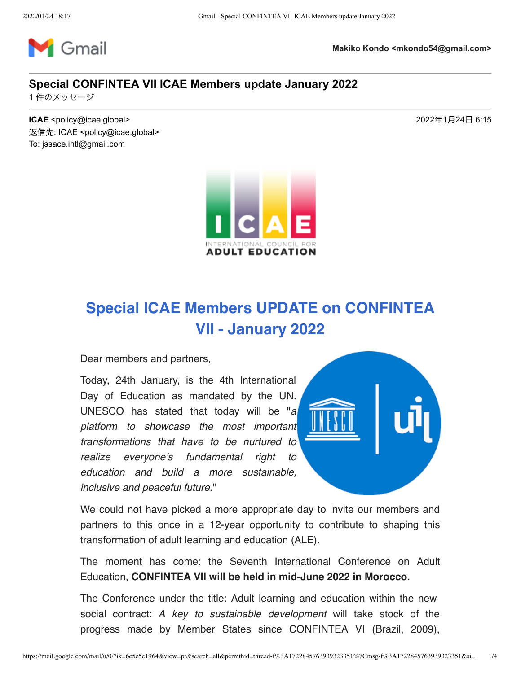

**Makiko Kondo <mkondo54@gmail.com>**

## **Special CONFINTEA VII ICAE Members update January 2022**

1件のメッセージ

**ICAE** <policy@icae.global>  $2022 \text{#}1 \text{#}24 \text{H}$  6:15 返信先: ICAE <policy@icae.global> To: jssace.intl@gmail.com



## Special ICAE Members UPDATE on CONFINTEA VII - January 2022

Dear members and partners,

Today, 24th January, is the 4th International Day of Education as mandated by the UN. UNESCO has stated that today will be "a platform to showcase the most important transformations that have to be nurtured to realize everyone's fundamental right to education and build a more sustainable, inclusive and peaceful future."



We could not have picked a more appropriate day to invite our members and partners to this once in a 12-year opportunity to contribute to shaping this transformation of adult learning and education (ALE).

The moment has come: the Seventh International Conference on Adult Education, CONFINTEA VII will be held in mid-June 2022 in Morocco.

The Conference under the title: Adult learning and education within the new social contract: A key to sustainable development will take stock of the progress made by Member States since CONFINTEA VI (Brazil, 2009),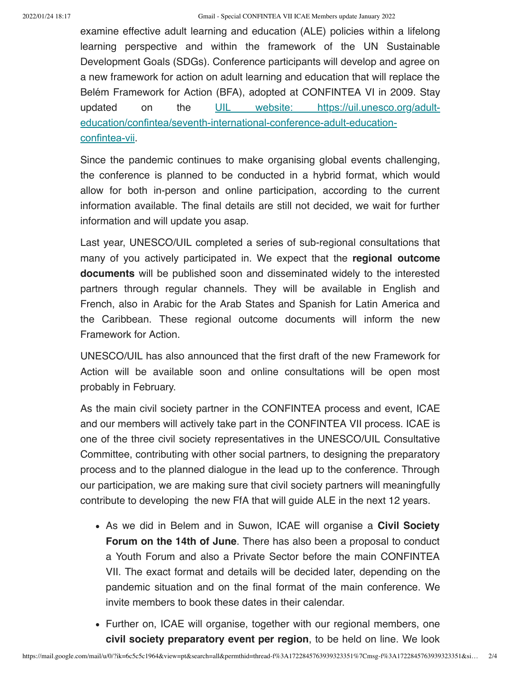2022/01/24 18:17 Gmail - Special CONFINTEA VII ICAE Members update January 2022

examine effective adult learning and education (ALE) policies within a lifelong learning perspective and within the framework of the UN Sustainable Development Goals (SDGs). Conference participants will develop and agree on a new framework for action on adult learning and education that will replace the Belém Framework for Action (BFA), adopted at CONFINTEA VI in 2009. Stay updated on the UIL website: https://uil.unesco.org/adulteducation/confintea/seventh-international-conference-adult-educationconfintea-vii.

Since the pandemic continues to make organising global events challenging, the conference is planned to be conducted in a hybrid format, which would allow for both in-person and online participation, according to the current information available. The final details are still not decided, we wait for further information and will update you asap.

Last year, UNESCO/UIL completed a series of sub-regional consultations that many of you actively participated in. We expect that the **regional outcome** documents will be published soon and disseminated widely to the interested partners through regular channels. They will be available in English and French, also in Arabic for the Arab States and Spanish for Latin America and the Caribbean. These regional outcome documents will inform the new Framework for Action.

UNESCO/UIL has also announced that the first draft of the new Framework for Action will be available soon and online consultations will be open most probably in February.

As the main civil society partner in the CONFINTEA process and event, ICAE and our members will actively take part in the CONFINTEA VII process. ICAE is one of the three civil society representatives in the UNESCO/UIL Consultative Committee, contributing with other social partners, to designing the preparatory process and to the planned dialogue in the lead up to the conference. Through our participation, we are making sure that civil society partners will meaningfully contribute to developing the new FfA that will guide ALE in the next 12 years.

- As we did in Belem and in Suwon, ICAE will organise a **Civil Society** Forum on the 14th of June. There has also been a proposal to conduct a Youth Forum and also a Private Sector before the main CONFINTEA VII. The exact format and details will be decided later, depending on the pandemic situation and on the final format of the main conference. We invite members to book these dates in their calendar.
- Further on, ICAE will organise, together with our regional members, one civil society preparatory event per region, to be held on line. We look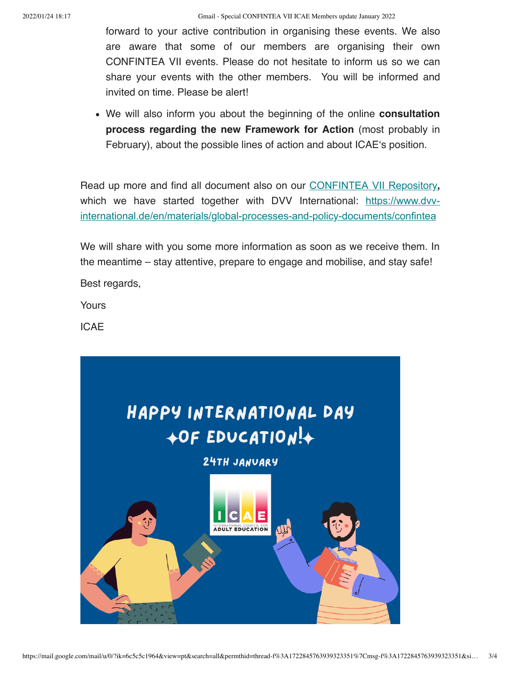forward to your active contribution in organising these events. We also are aware that some of our members are organising their own CONFINTEA VII events. Please do not hesitate to inform us so we can share your events with the other members. You will be informed and invited on time. Please be alert!

• We will also inform you about the beginning of the online **consultation** process regarding the new Framework for Action (most probably in February), about the possible lines of action and about ICAE's position.

Read up more and find all document also on our CONFINTEA VII Repository, which we have started together with DVV International: https://www.dvvinternational.de/en/materials/global-processes-and-policy-documents/confintea

We will share with you some more information as soon as we receive them. In the meantime – stay attentive, prepare to engage and mobilise, and stay safe! Best regards,

Yours

ICAE